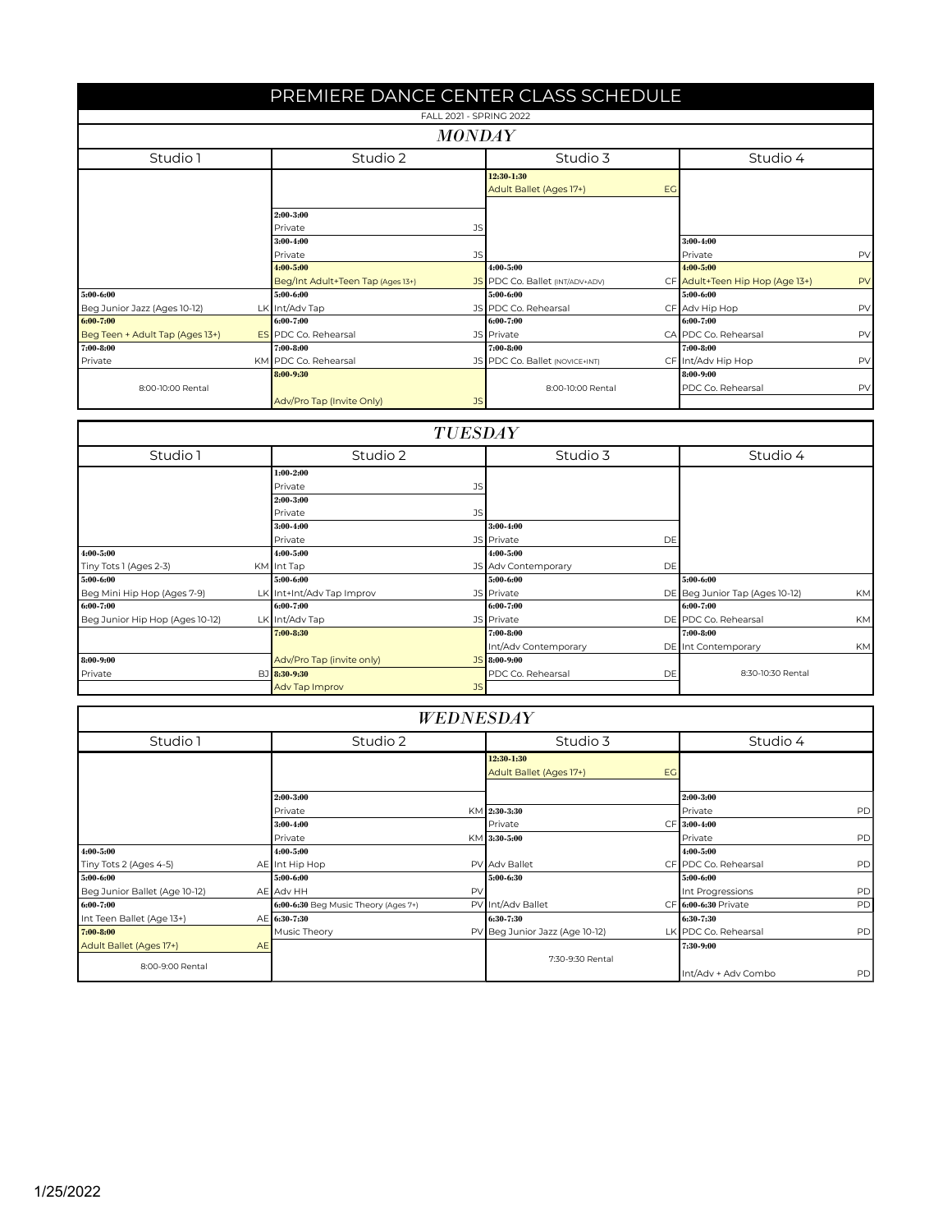|                                  | PREMIERE DANCE CENTER CLASS SCHEDULE |                                   |                         |                                        |    |                                 |    |  |  |
|----------------------------------|--------------------------------------|-----------------------------------|-------------------------|----------------------------------------|----|---------------------------------|----|--|--|
|                                  |                                      |                                   | FALL 2021 - SPRING 2022 |                                        |    |                                 |    |  |  |
|                                  |                                      |                                   | <b>MONDAY</b>           |                                        |    |                                 |    |  |  |
| Studio 1<br>Studio 2<br>Studio 3 |                                      |                                   |                         |                                        |    | Studio 4                        |    |  |  |
|                                  |                                      |                                   |                         | 12:30-1:30<br>Adult Ballet (Ages 17+)  | EG |                                 |    |  |  |
|                                  |                                      | 2:00-3:00<br>Private              | <b>JS</b>               |                                        |    |                                 |    |  |  |
|                                  |                                      | 3:00-4:00                         |                         |                                        |    | 3:00-4:00                       |    |  |  |
|                                  |                                      | Private                           | JS                      |                                        |    | Private                         | PV |  |  |
|                                  |                                      | 4:00-5:00                         |                         | $4:00 - 5:00$                          |    | 4:00-5:00                       |    |  |  |
|                                  |                                      | Beg/Int Adult+Teen Tap (Ages 13+) |                         | <b>JS</b> PDC Co. Ballet (INT/ADV+ADV) |    | CF Adult+Teen Hip Hop (Age 13+) | PV |  |  |
| 5:00-6:00                        |                                      | 5:00-6:00                         |                         | 5:00-6:00                              |    | 5:00-6:00                       |    |  |  |
| Beg Junior Jazz (Ages 10-12)     |                                      | LK Int/Adv Tap                    |                         | JS PDC Co. Rehearsal                   |    | CF Adv Hip Hop                  | PV |  |  |
| 6:00-7:00                        |                                      | 6:00-7:00                         |                         | 6:00-7:00                              |    | 6:00-7:00                       |    |  |  |
| Beg Teen + Adult Tap (Ages 13+)  |                                      | <b>ES</b> PDC Co. Rehearsal       |                         | <b>JS</b> Private                      |    | CA PDC Co. Rehearsal            | PV |  |  |
| 7:00-8:00                        |                                      | 7:00-8:00                         |                         | 7:00-8:00                              |    | 7:00-8:00                       |    |  |  |
| Private                          |                                      | KM PDC Co. Rehearsal              |                         | JS PDC Co. Ballet (NOVICE+INT)         |    | CF Int/Adv Hip Hop              | PV |  |  |
|                                  |                                      | 8:00-9:30                         |                         |                                        |    | 8:00-9:00                       |    |  |  |
| 8:00-10:00 Rental                |                                      |                                   |                         | 8:00-10:00 Rental                      |    | PDC Co. Rehearsal               | PV |  |  |
|                                  |                                      | Adv/Pro Tap (Invite Only)         | <b>JS</b>               |                                        |    |                                 |    |  |  |

## *TUESDAY*

| Studio 1                        |  | Studio 2                  |           | Studio 3             |    | Studio 4                       |           |
|---------------------------------|--|---------------------------|-----------|----------------------|----|--------------------------------|-----------|
|                                 |  | $1:00 - 2:00$             |           |                      |    |                                |           |
|                                 |  | Private                   |           |                      |    |                                |           |
|                                 |  | 2:00-3:00                 |           |                      |    |                                |           |
|                                 |  | Private                   | JS.       |                      |    |                                |           |
|                                 |  | 3:00-4:00                 |           | $3:00-4:00$          |    |                                |           |
|                                 |  | Private                   |           | JS Private           | DE |                                |           |
| 4:00-5:00                       |  | 4:00-5:00                 |           | $4:00 - 5:00$        |    |                                |           |
| Tiny Tots 1 (Ages 2-3)          |  | KM Int Tap                |           | JS Adv Contemporary  | DE |                                |           |
| 5:00-6:00                       |  | 5:00-6:00                 |           | 5:00-6:00            |    | 5:00-6:00                      |           |
| Beg Mini Hip Hop (Ages 7-9)     |  | LK Int+Int/Adv Tap Improv |           | <b>JS</b> Private    |    | DE Beg Junior Tap (Ages 10-12) | <b>KM</b> |
| 6:00-7:00                       |  | 6:00-7:00                 |           | 6:00-7:00            |    | 6:00-7:00                      |           |
| Beg Junior Hip Hop (Ages 10-12) |  | LK Int/Adv Tap            |           | <b>JS</b> Private    |    | DE PDC Co. Rehearsal           | <b>KM</b> |
|                                 |  | 7:00-8:30                 |           | $7:00 - 8:00$        |    | 7:00-8:00                      |           |
|                                 |  |                           |           | Int/Adv Contemporary |    | <b>DE</b> Int Contemporary     | <b>KM</b> |
| 8:00-9:00                       |  | Adv/Pro Tap (invite only) |           | JS 8:00-9:00         |    |                                |           |
| Private                         |  | BJ 8:30-9:30              |           | PDC Co. Rehearsal    | DE | 8:30-10:30 Rental              |           |
|                                 |  | Adv Tap Improv            | <b>JS</b> |                      |    |                                |           |

|                               |           |                                      |    | <b>WEDNESDAY</b>                      |    |                      |           |
|-------------------------------|-----------|--------------------------------------|----|---------------------------------------|----|----------------------|-----------|
| Studio 1                      |           | Studio 2                             |    | Studio 3                              |    | Studio 4             |           |
|                               |           |                                      |    | 12:30 1:30<br>Adult Ballet (Ages 17+) | EG |                      |           |
|                               |           | 2:00-3:00                            |    |                                       |    | 2:00-3:00            |           |
|                               |           | Private                              |    | KM 2:30-3:30                          |    | Private              | <b>PD</b> |
|                               |           | 3:00-4:00                            |    | Private                               |    | CF 3:00-4:00         |           |
|                               |           | Private                              |    | KM 3:30-5:00                          |    | Private              | PD        |
| 4:00-5:00                     |           | 4:00 5:00                            |    |                                       |    | 4:00-5:00            |           |
| Tiny Tots 2 (Ages 4-5)        |           | AE Int Hip Hop                       |    | PV Adv Ballet                         |    | CF PDC Co. Rehearsal | PD        |
| 5:00-6:00                     |           | 5:00-6:00                            |    | 5:00-6:30                             |    | 5:00-6:00            |           |
| Beg Junior Ballet (Age 10-12) |           | AE Adv HH                            | PV |                                       |    | Int Progressions     | PD        |
| 6:00-7:00                     |           | 6:00-6:30 Beg Music Theory (Ages 7+) |    | PV Int/Adv Ballet                     |    | CF 6:00-6:30 Private | PD        |
| Int Teen Ballet (Age 13+)     |           | AE 6:30-7:30                         |    | 6:30-7:30                             |    | 6:30-7:30            |           |
| $7:00 - 8:00$                 |           | Music Theory                         |    | PV Beg Junior Jazz (Age 10-12)        |    | LK PDC Co. Rehearsal | <b>PD</b> |
| Adult Ballet (Ages 17+)       | <b>AE</b> |                                      |    |                                       |    | 7:30-9:00            |           |
| 8:00-9:00 Rental              |           |                                      |    | 7:30-9:30 Rental                      |    | Int/Adv + Adv Combo  | <b>PD</b> |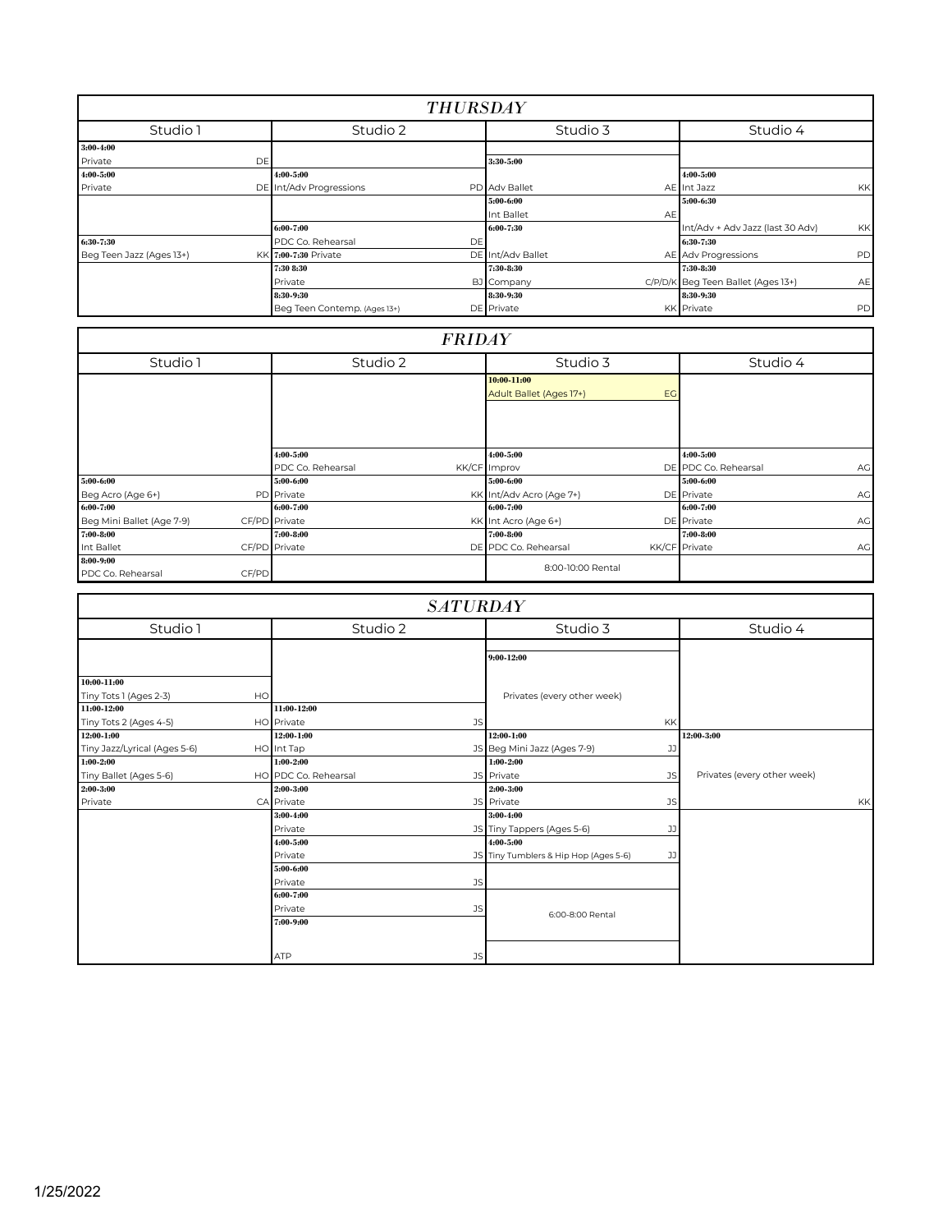| <b>THURSDAY</b>          |                              |                   |                                               |  |  |  |  |  |
|--------------------------|------------------------------|-------------------|-----------------------------------------------|--|--|--|--|--|
| Studio 1                 | Studio 2                     | Studio 3          | Studio 4                                      |  |  |  |  |  |
| 3:00-4:00                |                              |                   |                                               |  |  |  |  |  |
| Private<br>DE            |                              | 3:30-5:00         |                                               |  |  |  |  |  |
| 4:00-5:00                | 4:00-5:00                    |                   | 4:00-5:00                                     |  |  |  |  |  |
| Private                  | DE Int/Adv Progressions      | PD Adv Ballet     | <b>KK</b><br>AE Int Jazz                      |  |  |  |  |  |
|                          |                              | 5:00-6:00         | 5:00-6:30                                     |  |  |  |  |  |
|                          |                              | Int Ballet<br>AE  |                                               |  |  |  |  |  |
|                          | 6:00-7:00                    | 6:00-7:30         | Int/Adv + Adv Jazz (last 30 Adv)<br><b>KK</b> |  |  |  |  |  |
| 6:30-7:30                | PDC Co. Rehearsal<br>DE      |                   | 6:30-7:30                                     |  |  |  |  |  |
| Beg Teen Jazz (Ages 13+) | KK 7:00-7:30 Private         | DE Int/Adv Ballet | AE Adv Progressions<br><b>PD</b>              |  |  |  |  |  |
|                          | 7:30 8:30                    | 7:30-8:30         | 7:30 8:30                                     |  |  |  |  |  |
|                          | Private                      | BJ Company        | C/P/D/K Beg Teen Ballet (Ages 13+)<br>AE      |  |  |  |  |  |
|                          | 8:30-9:30                    | 8:30-9:30         | 8:30-9:30                                     |  |  |  |  |  |
|                          | Beg Teen Contemp. (Ages 13+) | DE Private        | <b>PD</b><br><b>KK</b> Private                |  |  |  |  |  |

|                                |       | <b>FRIDAY</b>                  |                                              |                                         |
|--------------------------------|-------|--------------------------------|----------------------------------------------|-----------------------------------------|
| Studio 1                       |       | Studio 2                       | Studio 3                                     | Studio 4                                |
|                                |       |                                | 10:00 11:00<br>Adult Ballet (Ages 17+)<br>EG |                                         |
|                                |       | 4:00-5:00<br>PDC Co. Rehearsal | 4:00-5:00<br>KK/CF Improv                    | 4:00-5:00<br>DE PDC Co. Rehearsal<br>AG |
| 5:00-6:00                      |       | 5:00-6:00                      | 5:00-6:00                                    | 5:00-6:00                               |
| Beg Acro (Age 6+)              |       | PD Private                     | KK Int/Adv Acro (Age 7+)                     | DE Private<br>AG                        |
| 6:00-7:00                      |       | 6:00-7:00                      | 6:00-7:00                                    | 6:00-7:00                               |
| Beg Mini Ballet (Age 7-9)      |       | CF/PD Private                  | KK Int Acro (Age 6+)                         | DE Private<br>AG                        |
| 7:00-8:00                      |       | 7:00-8:00                      | 7:00-8:00                                    | 7:00-8:00                               |
| Int Ballet                     |       | CF/PD Private                  | DE PDC Co. Rehearsal                         | KK/CF Private<br>AG                     |
| 8:00-9:00<br>PDC Co. Rehearsal | CF/PD |                                | 8:00-10:00 Rental                            |                                         |

|                              |    |                      |           | <b>SATURDAY</b>                       |           |                             |    |
|------------------------------|----|----------------------|-----------|---------------------------------------|-----------|-----------------------------|----|
| Studio 1                     |    | Studio 2             |           | Studio 3                              |           | Studio 4                    |    |
|                              |    |                      |           | 9:00-12:00                            |           |                             |    |
| 10:00-11:00                  |    |                      |           |                                       |           |                             |    |
| Tiny Tots 1 (Ages 2-3)       | HO |                      |           | Privates (every other week)           |           |                             |    |
| 11:00-12:00                  |    | 11:00-12:00          |           |                                       |           |                             |    |
| Tiny Tots 2 (Ages 4-5)       |    | HO Private           | <b>JS</b> |                                       | <b>KK</b> |                             |    |
| 12:00-1:00                   |    | 12:00-1:00           |           | 12:00-1:00                            |           | 12:00-3:00                  |    |
| Tiny Jazz/Lyrical (Ages 5-6) |    | HO Int Tap           |           | JS Beg Mini Jazz (Ages 7-9)           | JJ        |                             |    |
| 1:00-2:00                    |    | $1:00 - 2:00$        |           | $1:00 - 2:00$                         |           |                             |    |
| Tiny Ballet (Ages 5-6)       |    | HO PDC Co. Rehearsal |           | JS Private                            | <b>JS</b> | Privates (every other week) |    |
| 2:00-3:00                    |    | 2:00-3:00            |           | 2:00-3:00                             |           |                             |    |
| Private                      |    | CA Private           |           | JS Private                            | <b>JS</b> |                             | KK |
|                              |    | 3:00-4:00            |           | $3:00-4:00$                           |           |                             |    |
|                              |    | Private              |           | JS Tiny Tappers (Ages 5-6)            | JJ        |                             |    |
|                              |    | $4:00 - 5:00$        |           | $4:00 - 5:00$                         |           |                             |    |
|                              |    | Private              |           | JS Tiny Tumblers & Hip Hop (Ages 5-6) | JJ        |                             |    |
|                              |    | 5:00-6:00            |           |                                       |           |                             |    |
|                              |    | Private              | <b>JS</b> |                                       |           |                             |    |
|                              |    | 6:00-7:00            |           |                                       |           |                             |    |
|                              |    | Private              | <b>JS</b> | 6:00-8:00 Rental                      |           |                             |    |
|                              |    | 7:00-9:00            |           |                                       |           |                             |    |
|                              |    | <b>ATP</b>           | <b>JS</b> |                                       |           |                             |    |

f